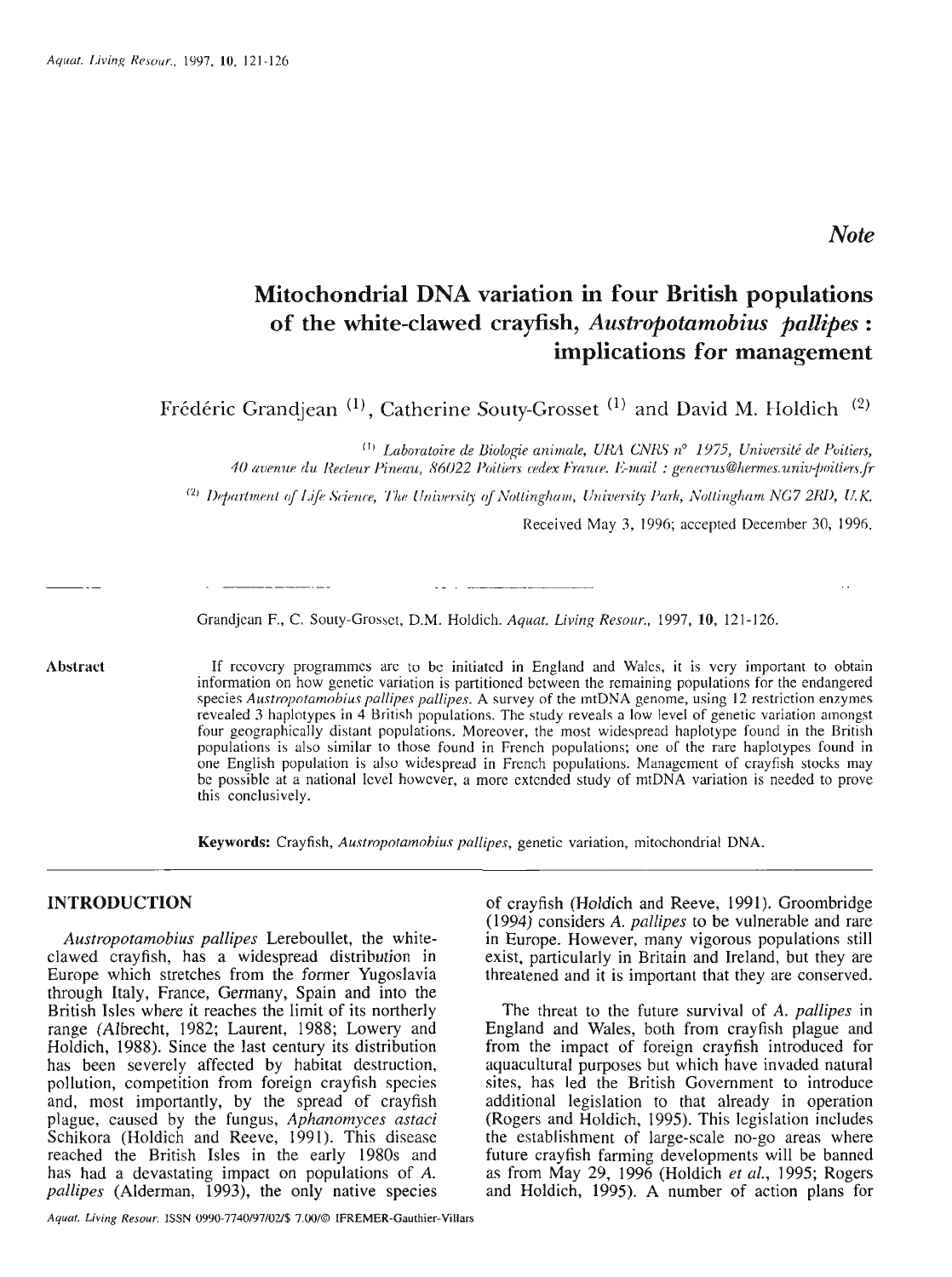# Mitochondrial DNA variation in four British populations of the white-clawed crayfish, Austropotamobius pallipes: implications for management

Frédéric Grandjean<sup>(1)</sup>, Catherine Souty-Grosset<sup>(1)</sup> and David M. Holdich<sup>(2)</sup>

<sup>(1)</sup> Laboratoire de Biologie animale, URA CNRS n° 1975, Université de Poitiers, 40 avenue du Recteur Pineau, 86022 Poitiers cedex France. E-mail: genecrus@hermes.univ-poitiers.fr

<sup>(2)</sup> Department of Life Science, The University of Nottingham, University Park, Nottingham NG7 2RD, U.K.

Received May 3, 1996; accepted December 30, 1996.

Grandjean F., C. Souty-Grosset, D.M. Holdich. Aquat. Living Resour., 1997, 10, 121-126.

**Abstract** 

If recovery programmes are to be initiated in England and Wales, it is very important to obtain information on how genetic variation is partitioned between the remaining populations for the endangered species Austropotamobius pallipes pallipes. A survey of the mtDNA genome, using 12 restriction enzymes revealed 3 haplotypes in 4 British populations. The study reveals a low level of genetic variation amongst four geographically distant populations. Moreover, the most widespread haplotype found in the British populations is also similar to those found in French populations; one of the rare haplotypes found in one English population is also widespread in French populations. Management of crayfish stocks may be possible at a national level however, a more extended study of mtDNA variation is needed to prove this conclusively.

Keywords: Crayfish, Austropotamobius pallipes, genetic variation, mitochondrial DNA.

### **INTRODUCTION**

Austropotamobius pallipes Lereboullet, the whiteclawed crayfish, has a widespread distribution in Europe which stretches from the former Yugoslavia through Italy, France, Germany, Spain and into the British Isles where it reaches the limit of its northerly range (Albrecht, 1982; Laurent, 1988; Lowery and Holdich, 1988). Since the last century its distribution has been severely affected by habitat destruction, pollution, competition from foreign crayfish species and, most importantly, by the spread of crayfish plague, caused by the fungus, Aphanomyces astaci Schikora (Holdich and Reeve, 1991). This disease reached the British Isles in the early 1980s and has had a devastating impact on populations of A. *pallipes* (Alderman, 1993), the only native species

Aquat, Living Resour, ISSN 0990-7740/97/02/\$ 7.00/© IFREMER-Gauthier-Villars

of crayfish (Holdich and Reeve, 1991). Groombridge (1994) considers A. pallipes to be vulnerable and rare in Europe. However, many vigorous populations still exist, particularly in Britain and Ireland, but they are threatened and it is important that they are conserved.

The threat to the future survival of A. pallipes in England and Wales, both from crayfish plague and from the impact of foreign crayfish introduced for aquacultural purposes but which have invaded natural sites, has led the British Government to introduce additional legislation to that already in operation (Rogers and Holdich, 1995). This legislation includes the establishment of large-scale no-go areas where future cravfish farming developments will be banned as from May 29, 1996 (Holdich et al., 1995; Rogers and Holdich, 1995). A number of action plans for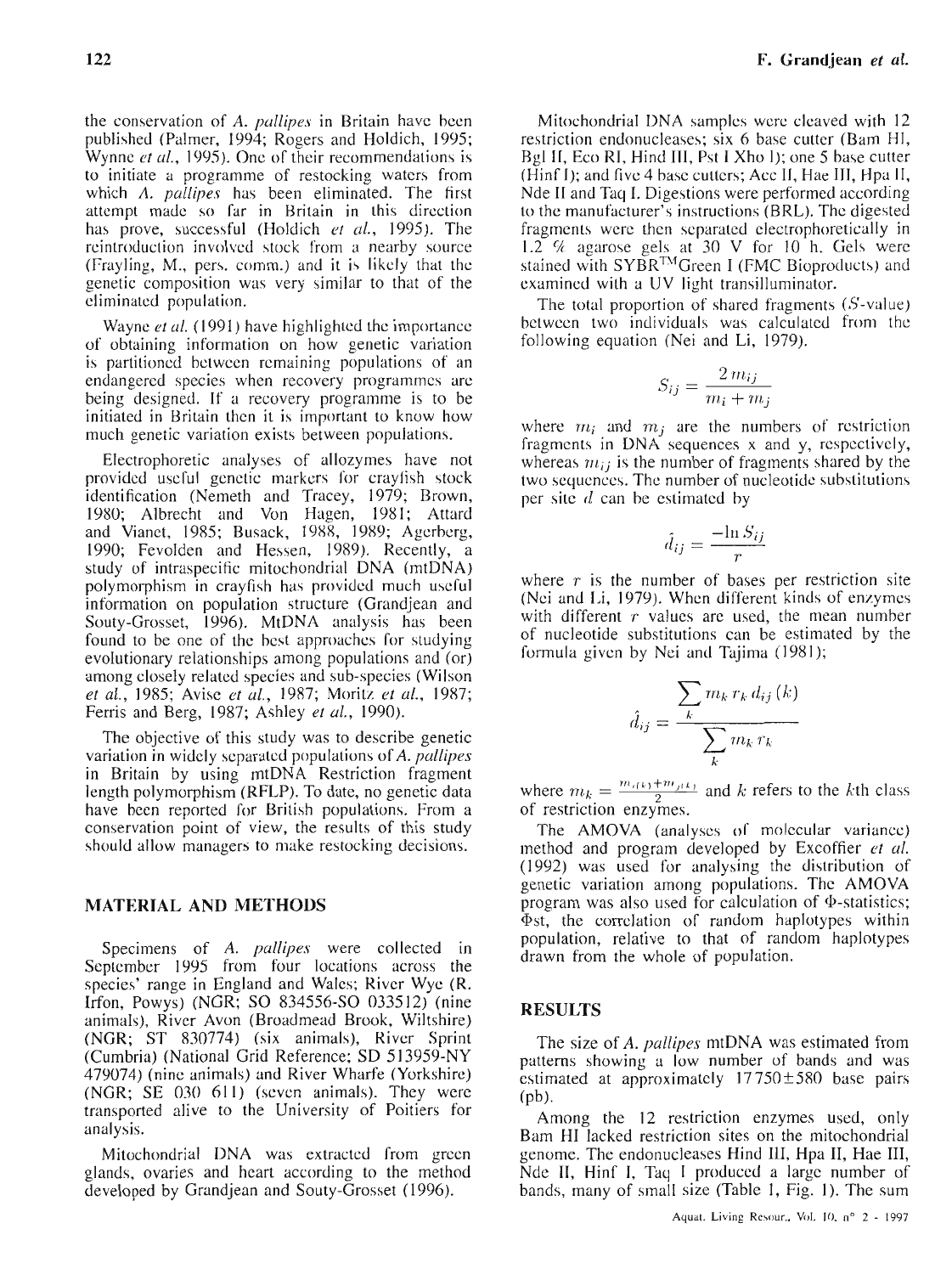the conservation of *A. pallipes* in Britain have been published (Palmer, 1994; Rogers and Holdich, 1995; Wynne *et al.*, 1995). One of their recommendations is to initiate a programme of restocking water\ from which *A. pallipes* has been eliminated. The first attempt made so far in Britain in this direction has prove, successful (Holdich *et al.*, 1995). The rcintroduction involved stock from a nearby source (Frayling, M., pers. comm.) and it is likely that the genetic composition was very similar to that of the eliminatcd population.

Wayne *et al.* (1991) have highlightcd the importance of obtaining information on how genetic variation is partitioncd bctwcen rcmaining populations of an endangered species when recovery programmes arc being designed. If a recovery programme is to be initiated in Britain then it is important to know how much genetic variation exists between populations.

Electrophoretic analyses of allozymes have not providcd uscful genctic markcrs for crayfish stock identification (Nemeth and Tracey, 1979; Brown, 1980; Albrecht and Von Hagen, 1981; Attard and Vianet, 1985; Busack, 1988, 1989; Agcrberg, 1990; Fevolden and Hessen, 1989). Recently, a study of intraspecific mitochondrial DNA (mtDNA) polymorphism in crayfish has providcd much uscful information on population structure (Grandjean and Souty-Grosset, 1996). MtDNA analysis has been found to be one of the best approaches for studying evolutionary relationships among populations and (or) among closely related species and sub-species (Wilson *et al.,* 1985; Avise *et al.,* 1987; Moritz *et al.,* 1987; Ferris and Berg, 1987; Ashley *et al.,* 1990).

The objective of this study was to describe genetic variation in widcly scparatcd populations of A. *pullipes*  in Britain by using mtDNA Restriction fragment length polymorphism (RFLP). To date, no genetic data have been reported for British populations. From a conservation point of view, the results of this study should allow managers to make restocking decisions.

# **MATERIAL AND METHODS**

Specimens of *A. pallipes* were collected in September 1995 from four locations across the species' range in England and Walcs; River Wyc (R. Irfon, Powys) (NGR; SO 834556-SO 033512) (nine animals), River Avon (Broadmead Brook, Wiltshire) (NGR; ST 830774) (six animals), Kiver Sprint (Cumbria) (National Grid Reference; SD 5 13959-NY 479074) (nine animals) and River Wharfe (Yorkshire) (NGR; SE 030 611) (seven animals). They were transported alive to the University of Poitiers for analysis.

Mitochondrial DNA was extracted from green glands, ovaries and heart according to the method developed by Grandjean and Souty-Grosset (1996).

Mitochondrial DNA samples were cleaved with 12 restriction endonucleases; six 6 base cutter (Bam HI, Rgl II, Eco RI, Hind III, Pst I Xho 1); one *5* ba\e cutter (Hinf 1); and fivc 4 base cutters; Acc II, Hae III, Hpa II, Nde II and Taq 1. Digestions were performed according to the manufacturer's instructions (BRL). The digested fragments wcrc then scparated electrophoretically in 1.2 % agarose gels at 30 V for 10 h. Gels were stained with SYBRT"Green **1** (FMC Bioprotlucts) and cxamincd with a UV light transilluminator.

The total proportion of shared fragments (S-value) betwccn two individuals was calculated from the following equation (Nei and Li, 1979).

$$
S_{ij} = \frac{2 m_{ij}}{m_i + m_i}
$$

where  $m_i$  and  $m_j$  are the numbers of restriction fragments in DNA sequences x and y, rcspcctivcly, whereas  $m_{ij}$  is the number of fragments shared by the two sequcnccs. The number of nucleotide substitutions per site *d* can be estimated by

$$
\hat{d}_{ij} = \frac{-\ln S_{ij}}{r}
$$

where r is the number of bases per restriction site (Nei and Li, 1979). When different kinds of enzymes with different  $r$  values are used, the mean number of nucleotide substitutions can be estimated by the formula givcn by Nei and Tajima (1981);

$$
\hat{d}_{ij} = \frac{\sum_{k} m_k r_k d_{ij} (k)}{\sum_{k} m_k r_k}
$$

where  $m_k = \frac{m_{i(k)} + m_{j(k)}}{2}$  and *k* refers to the *k*th class of restriction enzymes.

The AMOVA (analyses of molccular variance) inethod and program developed by Excoffier *et al.*  (1992) was used for analysing the distribution of genetic variation among populations. The AMOVA program was also used for calculation of  $\Phi$ -statistics;  $\Phi$ st, the correlation of random haplotypes within population, relative to that of random haplotypes drawn from the whole of population.

# **RESULTS**

The size of *A. pallipes* mtDNA was estimated from patterns showing a low number of bands and was estimated at approximately  $17750 \pm 580$  base pairs (pb).

Among the 12 restriction enzymes used, only Bam HI lacked restriction sites on the mitochondrial genome. The endonucleases Hind III, Hpa II, Hae III, Nde II, Hinf 1, Tay **1** produccd a large number of bands, many of small size (Table 1, Fig. 1). The sum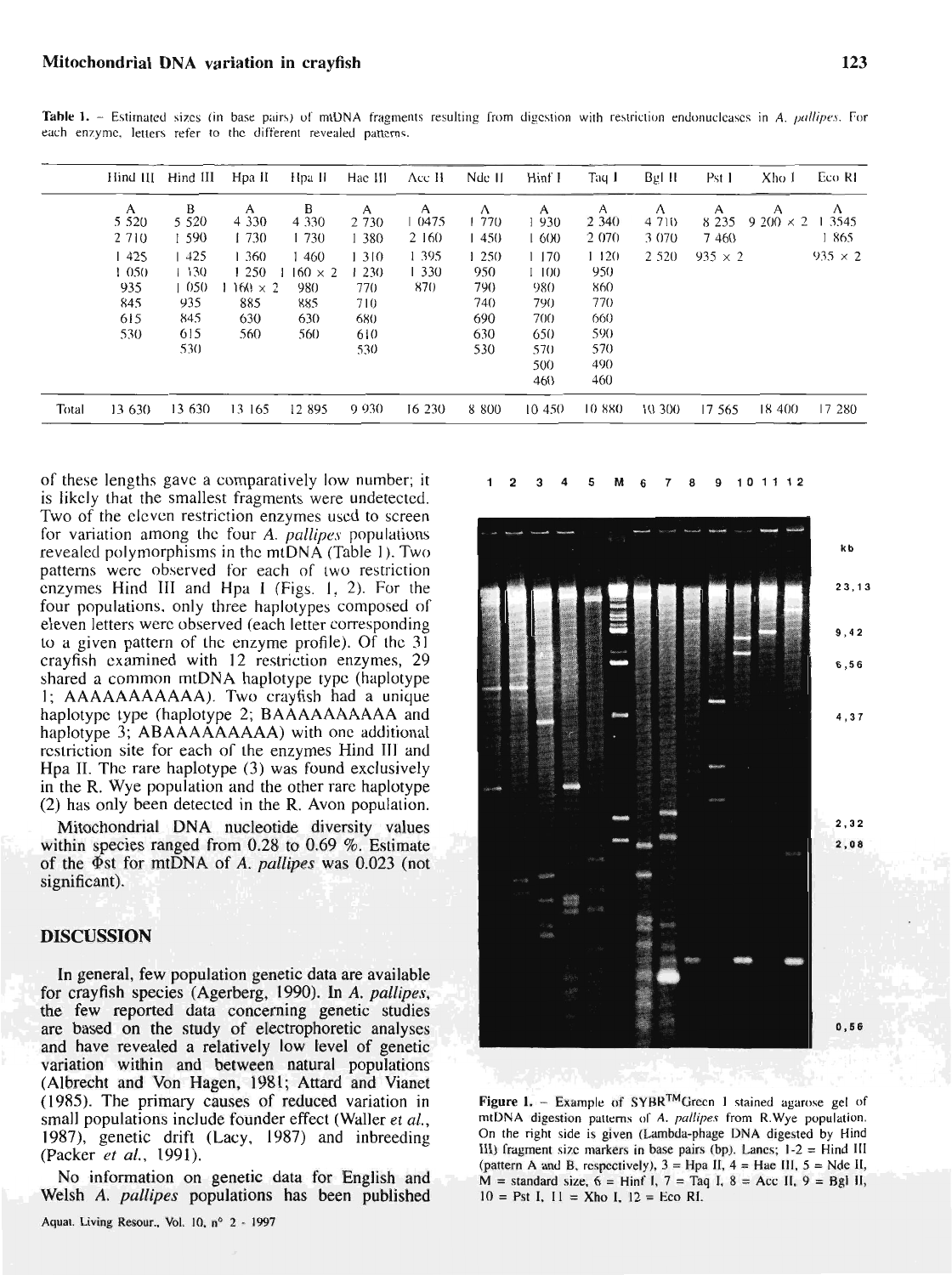Tahle 1. - Estimated sizes (in base pairs) of mtDNA fragments resulting from digestion with restriction endonucleases in *A. pallipes*. For example endonucleases in *A. pallipes*. For example endonucleases in *A. pallipes* each enzyme, letters refer to the different revealed patterns.

|       |                         | Hind III Hind III     | Hpa II               | Hpa II                 | Hac III                        | Acc II               | Nde II            | Hinf I            | Taq 1                   | $B_{2}$   $H$                | Pst 1                 | Xho I                 | Eco RI                     |
|-------|-------------------------|-----------------------|----------------------|------------------------|--------------------------------|----------------------|-------------------|-------------------|-------------------------|------------------------------|-----------------------|-----------------------|----------------------------|
|       | A<br>5 5 2 0<br>2 7 1 0 | B<br>5 5 2 0<br>1 590 | A<br>4 3 3 0<br>1730 | B<br>4 3 3 0<br>1 730  | $\mathsf{A}$<br>2 7 3 0<br>380 | A<br>(1475)<br>2 160 | Λ<br>770<br>  450 | A<br>930<br>1 600 | A<br>2 3 4 0<br>2 0 7 0 | $\Lambda$<br>4710<br>3 0 7 0 | A<br>8 2 3 5<br>7 460 | A<br>$9.200 \times 2$ | $\Lambda$<br>1 3545<br>865 |
|       |                         |                       |                      |                        |                                |                      |                   |                   |                         |                              |                       |                       |                            |
|       | 1425<br>1050            | 425<br>1130           | 360<br>1250          | 1460<br>$160 \times 2$ | -310<br>230                    | -395<br>$-330$       | 1250<br>950       | 1170<br>1100      | 1120<br>950             | 2 5 2 0                      | $935 \times 2$        |                       | $935 \times 2$             |
|       | 935                     | 050                   | $160 \times 2$       | 980                    | 770                            | 870                  | 790               | 980               | 860                     |                              |                       |                       |                            |
|       | 845                     | 935                   | 885                  | 885                    | 710                            |                      | 740               | 790               | 770                     |                              |                       |                       |                            |
|       | 615                     | 845                   | 630                  | 630                    | 680                            |                      | 690               | 700               | 660                     |                              |                       |                       |                            |
|       | 530                     | 615                   | 560                  | 560                    | 610                            |                      | 630               | 650               | 590                     |                              |                       |                       |                            |
|       |                         | 530                   |                      |                        | 530                            |                      | 530               | 570               | 570                     |                              |                       |                       |                            |
|       |                         |                       |                      |                        |                                |                      |                   | 500               | 490                     |                              |                       |                       |                            |
|       |                         |                       |                      |                        |                                |                      |                   | 460               | 460                     |                              |                       |                       |                            |
| Total | 13 630                  | 13 630                | 13 165               | 12 895                 | 9.930                          | 16 230               | 8 800             | 10450             | 10.880                  | 10,300                       | 17 565                | 18 400                | 17 280                     |

of these lengths gave a comparatively low number; it is likely that the smallest fragments were undetected. Two of the clcven restriction enzymes used to screen for variation among the four A. *pallipes* populations revealed polymorphisrns in thc mtDNA (Table 1). Two patterns were observed for each of two restriction enzymes Hind III and Hpa **1** (Figs. 1, 2). For the four populations, only three haplotypes composed of eleven letters werc observed (each letter corresponding to a given pattern of thc enzyme profile). Of the 31 crayfish cxamined with 12 restriction enzymes, 29 shared a common mtDNA haplotype typc (haplotype 1; AAAAAAAAAAA). Two crayfish had a uniyue haplotype type (haplotype 2; BAAAAAAAAAA and haplotype 3; ABAAAAAAAAA) with one additional restriction site for each of the enzymes Hind III and Hpa II. Thc rare haplotype (3) was found exclusively in the R. Wye population and the other rare haplotype (2) has only been detected in the R. Avon population.

Mitochondrial DNA nucleotide diversity values within species ranged from 0.28 to 0.69 %. Estimate of the @st for mtDNA of *A. pullipes* was 0.023 (not significant).

# **DISCUSSION**

In general, few population genetic data are available for crayfish species (Agerberg, 1990). In A. *pallipes,*  the few reported data concerning genetic studies are based on the study of electrophoretic analyses and have revealed a relatively low level of genetic variation within and between natural populations (Albrecht and Von Hagen, 1981; Attard and Vianet (1985). The **primary** causes of reduced variation in small populations include founder effect (Waller *et al.,*  1987), genetic drift (Lacy, 1987) and inbreeding (Packer et *al.,* 1991).

No information on genetic data for English and Welsh A. *pullipes* populations has been published

101112



Figure 1. - Example of SYBR<sup>TM</sup>Green 1 stained against gel of mtDNA digestion patterns of A. *pallipes* from R.Wye population. On the right side is given (Lambda-phage DNA digested by Hind III) fragment sizc markers in base pairs (bp). Lancs;  $1-2 =$  Hind III (pattern A and B, respectively),  $3 =$  Hpa II,  $4 =$  Hae III,  $5 =$  Nde II,  $M =$  standard size,  $6 =$  Hinf I,  $7 =$  Taq I,  $8 =$  Acc II,  $9 =$  Bgl II, 10 = Pst 1, II = Xho **1,** 12 = Eco RI.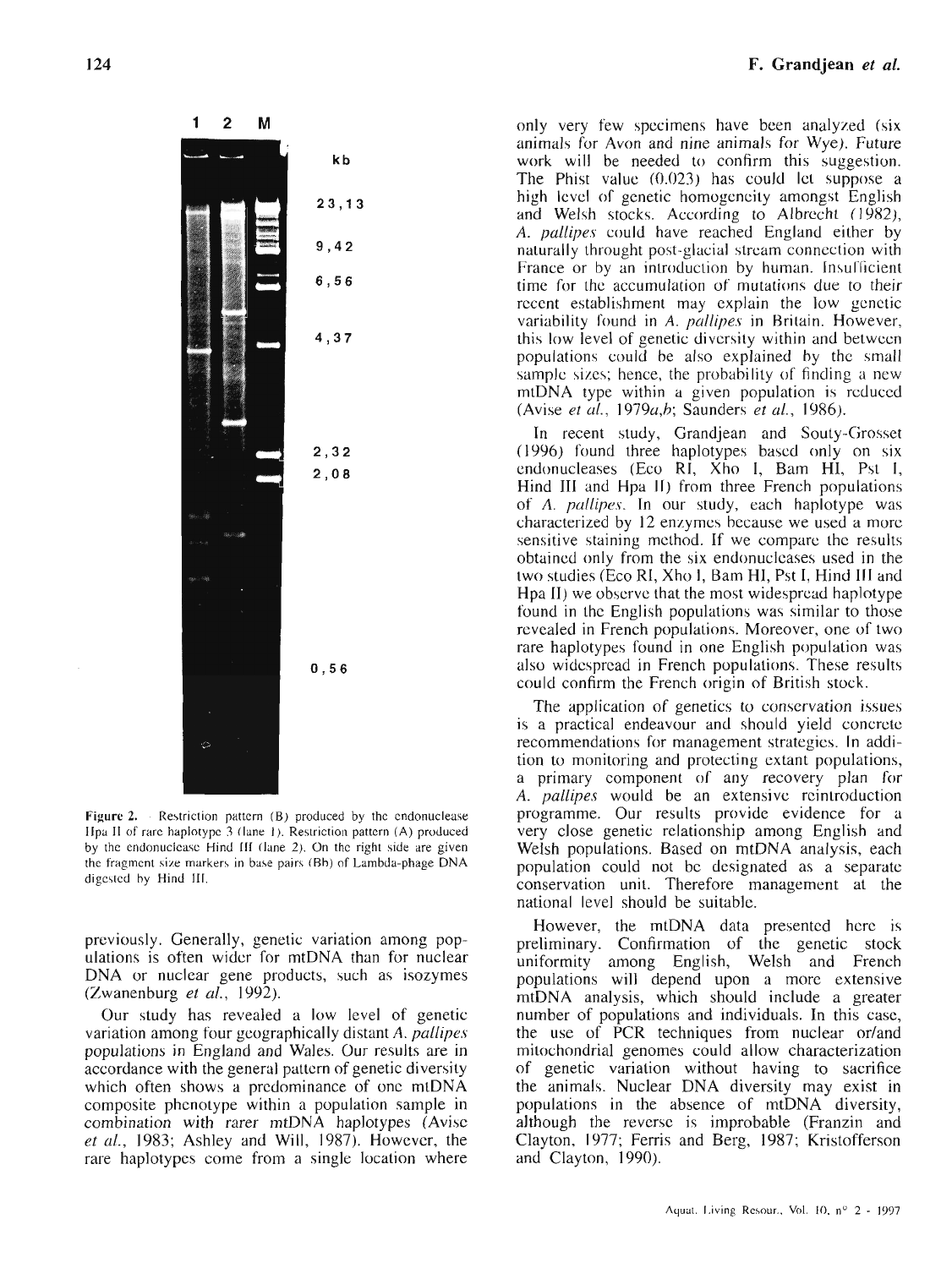

**Figure 2.** • Restriction pattern (B) produced by the endonuclease IIpa II of rare haplotype 3 (lane 1). Restriction pattern (A) produced by the endonuclease Hind III (lane 2). On the right side are given the fragment size markers in base pairs (Bh) of Lambda-phage DNA digested by Hind III.

previously. Generally, genetic variation among populations is often widcr for mtDNA than for nuclear DNA or nuclear gene products, such as isozymes (Zwanenburg et al., 1992).

Our study has revealed a low level of genetic variation among four geographically distant A. pallipes populations in England and Wales. Our results are in accordance with the general pattern of genetic diversity which often shows a predominance of one mtDNA composite phcnotype within a population sample in combination with rarer mtDNA haplotypes (Avisc et al., 1983; Ashley and Will, 1987). However, the rare haplotypes come from a single location where

**12 M b only very few specimens have been analyzed (six) <b>12 M** animals for Avon and nine animals for  $Wye$ ). Future work will be needed to confirm this suggestion. The Phist value (0.023) has could let suppose a high levcl of genetic homogcncity amongst English and Welsh stocks. According to Albrecht (1982), A. *pallipes* could have reached England either by naturally throught post-glacial strcam connection with France or by an introduction by human. lnsufficient time for the accumulation of mutations due to their recent establishment may explain the low genetic variability found in A. pallipes in Britain. However, this low level of genetic divcrsity within and betwccn populations could be also explained by the small sample sizes; hence, the probability of finding a new mtDNA type within a given population is rcduccd (Avise et al., 1979a,h; Saunders *et* al., 1986).

> In recent study, Grandjean and Souty-Grosset (1996) found three haplotypes bascd only on six endonucleases (Eco RI, Xho **1,** Bam HI, Pst 1, Hind III and Hpa II) from three French populations of  $\Lambda$ . *pallipes*. In our study, each haplotype was characterized by 12 enzymes because we used a more sensitive staining mcthod. If we compare the results obtaincd only from the six endonuclcases used in the two studies (Eco RI, Xho 1, Bam HI, Pst 1, Hind 111 and Hpa II) we observe that the most widespread haplotype found in the English populations was similar to those revealed in French populations. Moreover, one of two rare haplotypes found in one English population was also widesprcad in French populations. These results could confirm the French origin of British stock.

> The application of genetics to conservation issues is a practical endeavour and should yield concretc recommendations for management strategics. In addition to monitoring and protecting cxtant populations, a primary component of any recovery plan for A. pallipes would be an extensive reintroduction programme. Our results provide evidence for a very close genetic rclationship among English and Welsh populations. Based on mtDNA analysis, each population could not be designated as a separatc conservation unit. Therefore management at the national level should be suitable.

> However, the mtDNA data presented here is preliminary. Confirmation of the genetic stock uniformity among English, Welsh and French populations will depend upon a more extensive mtDNA analysis, which should include a greater number of populations and individuals. In this casc, the use of PCR techniques from nuclear or/and mitochondrial genomes could allow characterization of genetic variation without having to sacrifice the animals. Nuclear DNA diversity may exist in populations in the absence of mtDNA diversity, although the reverse is improbable (Franzin and Clayton, 1977; Ferris and Berg, 1987; Kristofferson and Clayton, 1990).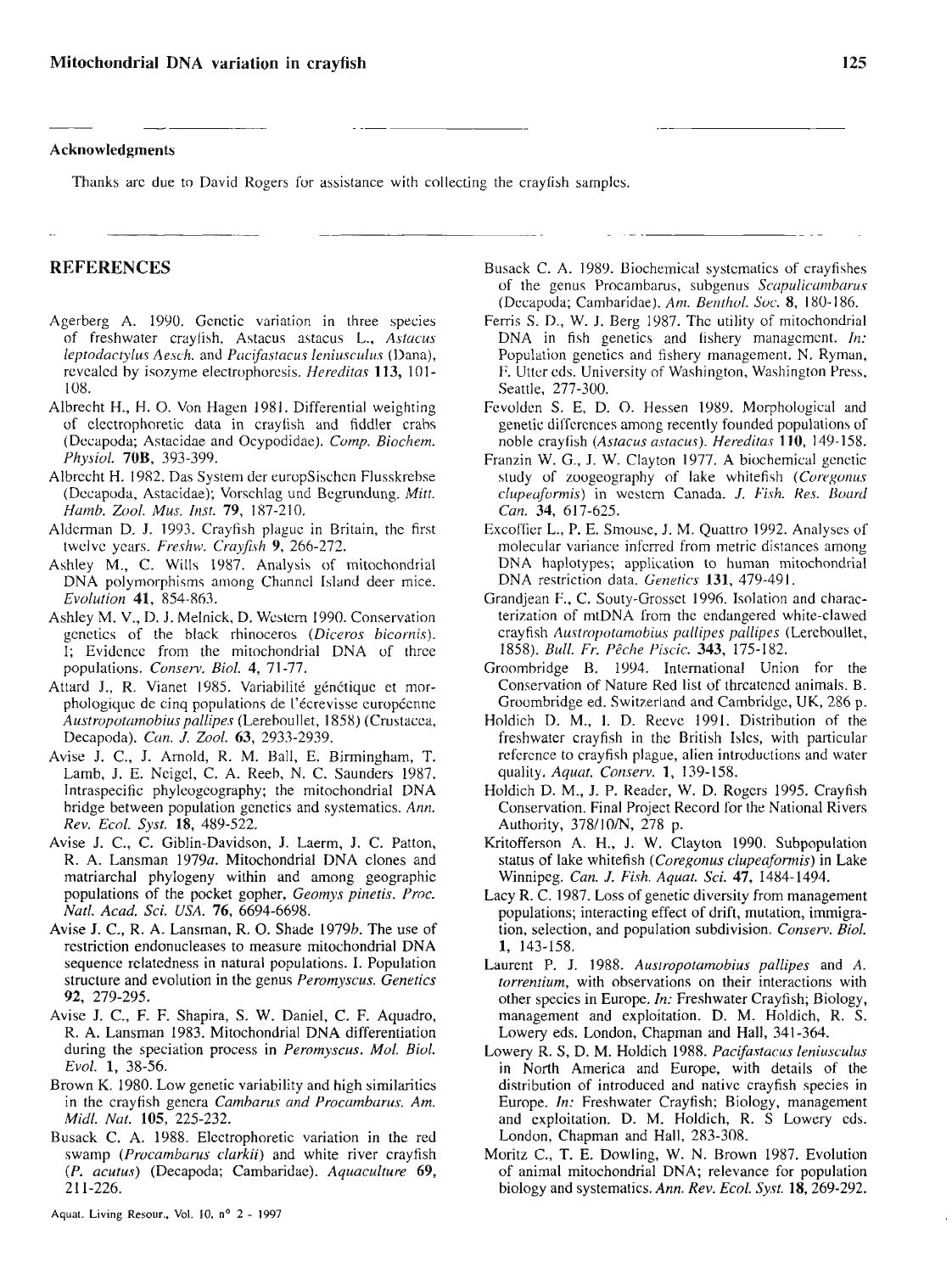#### Acknowledgments

Thanks arc due to David Rogers for assistance with collecting the crayiish samplcs.

-- . .- .-

## **REFERENCES**

- Agerberg A. 1990. Gcnctic variation in three species of freshwater crayfish, Astacus astacus L., *A.stucus Ieptodactylus Aesch.* and *Pacifastacus leniusculus* (Dana), revcalcd by isozyme electrophorcsis. *Hereditas* 113, 101 - 108.
- Albrecht H., H. O. Von Hagen 1981. Differential weighting of clcctrophoretic data in craylish and fiddler crabs (Decapoda; Astacidae and Ocypodidae). *Comp. Biochem. Physiol.* 70B, 393-399.
- Albrecht H. 1982. Das System der europSischen Flusskrebse (Decapoda, Astacidae); Vorschlag und Begrundung. *Mitt. Humb. Zool. Mus. Itist.* **79,** 187-2 10.
- Alderman D. J. 1993. Crayfish plaguc in Britain, the first twelve years. Freshw. Crayfish 9, 266-272.
- Ashley M., C. Wills 1987. Analysis of mitochondrial DNA polymorphisms among Channel Island deer mice. *Evolution* 41, 854-863.
- Ashley M. V., D. J. Melnick, D. Western 1990. Conservation genctics of the black rhinoceros *(Diceros bicornis).*  1; Evidcncc from the mitochondrial DNA of thrcc populations. Conserv. Biol. 4, 71-77.
- Attard J., R. Vianet 1985. Variabilité génétique et morphologique de cinq populations de l'écrevisse europécnnc *Austropotamobius pallipes (Lereboullet, 1858) (Crustacea,* Decapoda). *Cun. J. Zool.* 63, 2933-2939.
- Avise J. C., J. Arnold, K. M. Ball, E. Birmingham, T. Lamb, J. E. Neigcl, C. A. Reeb, N. C. Saunders 1987. Intraspecific phyleogcography; the mitochondrial DNA bridge between population gcnctics and systematics. *Ann. Rev. Ecol. Syst.* 18, 489-522.
- Avise J. C., C. Giblin-Davidson, J. Laerm, J. C. Patton, R. A. Lansman 1979a. Mitochondrial DNA clones and matriarchal phylogeny within and among geographic populations of the pocket gopher, *Geomys pinetis. Proc. Natl. Acad. Sci. USA.* 76, 6694-6698.
- Avise J. C., R. A. Lansman, R. O. Shade 19796. The use of restriction endonucleases to measure mitochondrial DNA sequence rclatcdness in natural populations. 1. Population structure and evolution in the genus *Peromyscus. Genetics*  **92,** 279-295.
- Avise J. C., F. F. Shapira, S. W. Daniel, C. F. Aquadro, R. A. Lansrnan 1983. Mitochondrial DNA differentiation during the speciation process in *Peromyscus. Mol. Biol. Evol.* 1, 38-56.
- Brown K. 1980. Low genetic variability and high similarities in the crayfish gencra *Carnharus and Procumbarus. Am. Midl. Nat.* 105, 225-232.
- Busack C. A. 1988. Elcctrophoretic variation in the red swamp *(Procambarus clarkii)* and white river crayfish *(P. acutus)* (Decapoda; Cambaridae). *Aquaculture* 69, 2 1 1-226.
- Busack C. A. 1989. Biochemical systematics of crayfishes of the genus Procambarus, subgenus *Scapulicambarus* (Decapoda; Cambaridae). *Am. Bentlzol. Soc.* **8,** 180- 186.
- Ferris S. D., W. J. Berg 1987. Thc utility of mitochondrial DNA in fish genetics and fishery management. In: Population genetics and fishery management. N. Ryman, F. Utter eds. University of Washington, Washington Press, Seattle, 277-300.
- Fevolden S. E, D. O. Hessen 1989. Morphological and genetic dil'l'crences among recently founded populations of noble crayfish *(Astacus astacus). Hereditas* 110, 149-158.
- Franzin W. G., J. W. Clayton 1977. A biochemical genctic study of zoogeography of lake whitefish (Coregonus *clupeaformis*) in western Canada. *J. Fish. Res. Board Can.* 34, 617-625.
- Excoffier L., P. E. Smouse, J. M. Quattro 1992. Analyses of molecular variance infcrred from metric distances among DNA haplotypes; application to human mitochondrial DNA restriction data. *Genetics* 131, 479-491.
- Grandjean F., C. Souty-Grossct 1996. Isolation and characterization of mtDNA from thc cndangered white-clawed crayfish *Austropotamobius pullipes pallipes* (Lereboullet, 1858). *Bull. Fr. Pêche Piscic.* 343, 175- 182.
- Groombridge B. 1994. International Union for the Conservation of Nature Red list of thrcatcncd animals. B. Groombridge ed. Switzerland and Cambridge, UK, 286 p.
- Holdich D. M., **1.** D. Reeve 1991. Distribution of the freshwater crayfish in the British Isles, with particular reference to crayfish plague, alien introductions and water quality. *Aquut. Consew.* 1, 139-158.
- Holdich D. M., J. P. Keader, W. D. Rogers 1995. Crayfish Conservation. Final Project Record for the National Rivers Authority, 378/10/N, 278 p.
- Kritofferson A. H., J. W. Clayton 1990. Subpopulation status of lake whitefish *(Coregonus clupeafomis)* in Lake Winnipeg. *Can. J.* **Fish.** *Aquat. Sci.* 47, 1484-1494.
- Lacy R. C. 1987. Loss of genetic diversity from management populations; interacting effect of drift, mutation, imrnigration, sclection, and population subdivision. *Consew. Biol.*  1, 143-158.
- Laurent P. J. 1988. *Austropotamobius pallipes* and *A. torrentiurn,* with observations on their interactions with other species in Europe. *In:* Freshwater Crayfish; Biology, management and exploitation. D. M. Holdich, R. S. Lowery eds. London, Chaprnan and Hall, 341-364.
- Lowery R. S, D. M. Holdich 1988. *Pacifastacus leniusculus*  in North Arnerica and Europe, with details of the distribution of introduced and native crayfish species in Europe. *In:* Freshwater Crayfish; Biology, management and exploitation. D. M. Holdich, R. S Lowery cds. London, Chapman and Hall, 283-308.
- Moritz C., T. E. Dowling, W. N. Brown 1987. Evolution of animal mitochondrial DNA; relevance for population biology and systematics. *Ann. Rev. Ecol. Syst.* 18,269-292.